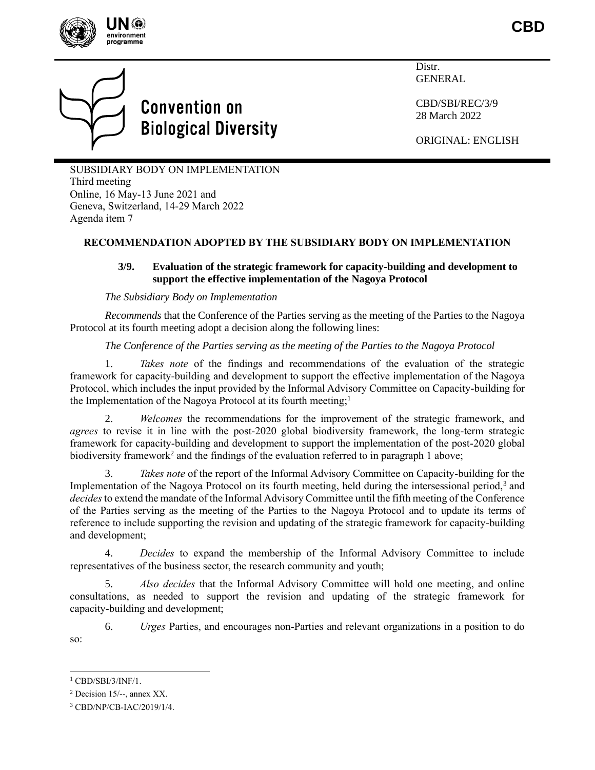

**CBD**



# **Convention on Biological Diversity**

**Distr** GENERAL

CBD/SBI/REC/3/9 28 March 2022

ORIGINAL: ENGLISH

SUBSIDIARY BODY ON IMPLEMENTATION Third meeting Online, 16 May-13 June 2021 and Geneva, Switzerland, 14-29 March 2022 Agenda item 7

## **RECOMMENDATION ADOPTED BY THE SUBSIDIARY BODY ON IMPLEMENTATION**

### **3/9. Evaluation of the strategic framework for capacity-building and development to support the effective implementation of the Nagoya Protocol**

#### *The Subsidiary Body on Implementation*

*Recommends* that the Conference of the Parties serving as the meeting of the Parties to the Nagoya Protocol at its fourth meeting adopt a decision along the following lines:

#### *The Conference of the Parties serving as the meeting of the Parties to the Nagoya Protocol*

1. *Takes note* of the findings and recommendations of the evaluation of the strategic framework for capacity-building and development to support the effective implementation of the Nagoya Protocol, which includes the input provided by the Informal Advisory Committee on Capacity-building for the Implementation of the Nagoya Protocol at its fourth meeting;<sup>1</sup>

2. *Welcomes* the recommendations for the improvement of the strategic framework, and *agrees* to revise it in line with the post-2020 global biodiversity framework, the long-term strategic framework for capacity-building and development to support the implementation of the post-2020 global biodiversity framework<sup>2</sup> and the findings of the evaluation referred to in paragraph 1 above;

3. *Takes note* of the report of the Informal Advisory Committee on Capacity-building for the Implementation of the Nagoya Protocol on its fourth meeting, held during the intersessional period,<sup>3</sup> and *decides*to extend the mandate of the Informal Advisory Committee until the fifth meeting of the Conference of the Parties serving as the meeting of the Parties to the Nagoya Protocol and to update its terms of reference to include supporting the revision and updating of the strategic framework for capacity-building and development;

4. *Decides* to expand the membership of the Informal Advisory Committee to include representatives of the business sector, the research community and youth;

5. *Also decides* that the Informal Advisory Committee will hold one meeting, and online consultations, as needed to support the revision and updating of the strategic framework for capacity-building and development;

6. *Urges* Parties, and encourages non-Parties and relevant organizations in a position to do so:

 $1$  CBD/SBI/3/INF/1.

<sup>2</sup> Decision 15/--, annex XX.

<sup>3</sup> CBD/NP/CB-IAC/2019/1/4.